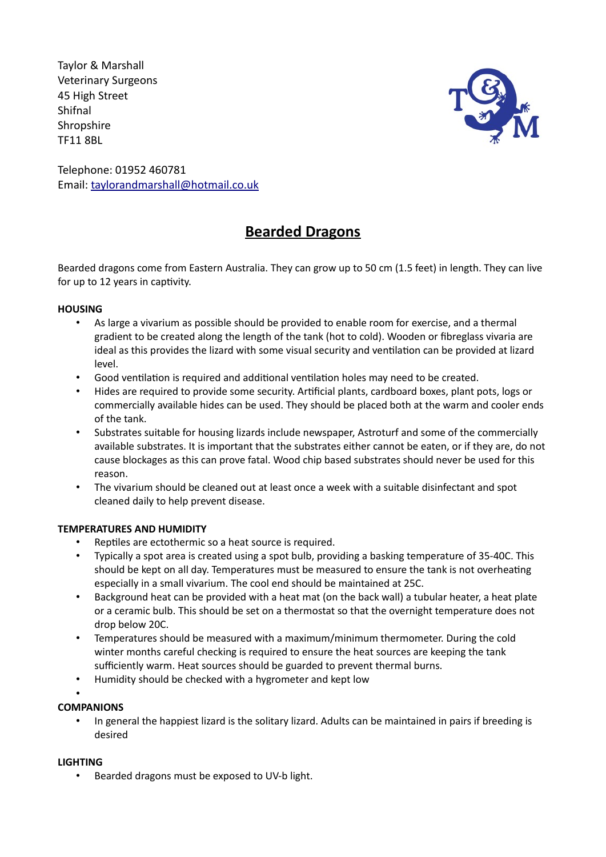Taylor & Marshall Veterinary Surgeons 45 High Street Shifnal **Shropshire** TF11 8BL



Telephone: 01952 460781 Email: taylorandmarshall@hotmail.co.uk

# **Bearded Dragons**

Bearded dragons come from Eastern Australia. They can grow up to 50 cm (1.5 feet) in length. They can live for up to 12 years in captivity.

### **HOUSING**

- As large a vivarium as possible should be provided to enable room for exercise, and a thermal gradient to be created along the length of the tank (hot to cold). Wooden or fibreglass vivaria are ideal as this provides the lizard with some visual security and ventilation can be provided at lizard level.
- Good ventilation is required and additional ventilation holes may need to be created.
- Hides are required to provide some security. Artificial plants, cardboard boxes, plant pots, logs or commercially available hides can be used. They should be placed both at the warm and cooler ends of the tank.
- Substrates suitable for housing lizards include newspaper, Astroturf and some of the commercially available substrates. It is important that the substrates either cannot be eaten, or if they are, do not cause blockages as this can prove fatal. Wood chip based substrates should never be used for this reason.
- The vivarium should be cleaned out at least once a week with a suitable disinfectant and spot cleaned daily to help prevent disease.

# **TEMPERATURES AND HUMIDITY**

- Reptiles are ectothermic so a heat source is required.
- Typically a spot area is created using a spot bulb, providing a basking temperature of 35-40C. This should be kept on all day. Temperatures must be measured to ensure the tank is not overheating especially in a small vivarium. The cool end should be maintained at 25C.
- Background heat can be provided with a heat mat (on the back wall) a tubular heater, a heat plate or a ceramic bulb. This should be set on a thermostat so that the overnight temperature does not drop below 20C.
- Temperatures should be measured with a maximum/minimum thermometer. During the cold winter months careful checking is required to ensure the heat sources are keeping the tank sufficiently warm. Heat sources should be guarded to prevent thermal burns.
- Humidity should be checked with a hygrometer and kept low
- •

# **COMPANIONS**

• In general the happiest lizard is the solitary lizard. Adults can be maintained in pairs if breeding is desired

#### **LIGHTING**

• Bearded dragons must be exposed to UV-b light.